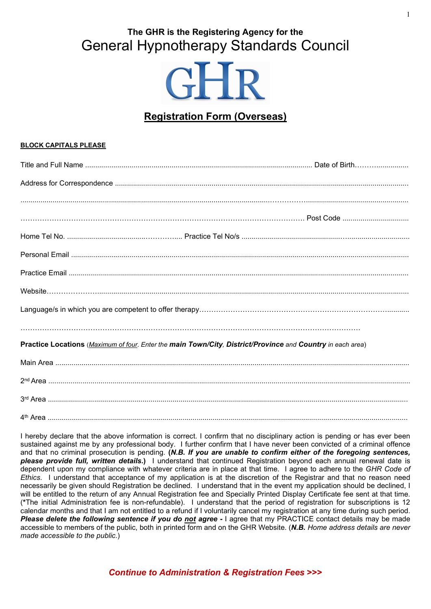# The GHR is the Registering Agency for the **General Hypnotherapy Standards Council**

# **GHR**

# **Registration Form (Overseas)**

### **BLOCK CAPITALS PLEASE**

| Practice Locations (Maximum of four. Enter the main Town/City, District/Province and Country in each area) |  |  |
|------------------------------------------------------------------------------------------------------------|--|--|
|                                                                                                            |  |  |
|                                                                                                            |  |  |
|                                                                                                            |  |  |
|                                                                                                            |  |  |

I hereby declare that the above information is correct. I confirm that no disciplinary action is pending or has ever been sustained against me by any professional body. I further confirm that I have never been convicted of a criminal offence and that no criminal prosecution is pending. (N.B. If you are unable to confirm either of the foregoing sentences, please provide full, written details.) I understand that continued Registration beyond each annual renewal date is dependent upon my compliance with whatever criteria are in place at that time. I agree to adhere to the GHR Code of Ethics. I understand that acceptance of my application is at the discretion of the Registrar and that no reason need necessarily be given should Registration be declined. I understand that in the event my application should be declined, I will be entitled to the return of any Annual Registration fee and Specially Printed Display Certificate fee sent at that time. (\*The initial Administration fee is non-refundable). I understand that the period of registration for subscriptions is 12 calendar months and that I am not entitled to a refund if I voluntarily cancel my registration at any time during such period. Please delete the following sentence if you do not agree - I agree that my PRACTICE contact details may be made accessible to members of the public, both in printed form and on the GHR Website. (N.B. Home address details are never made accessible to the public.)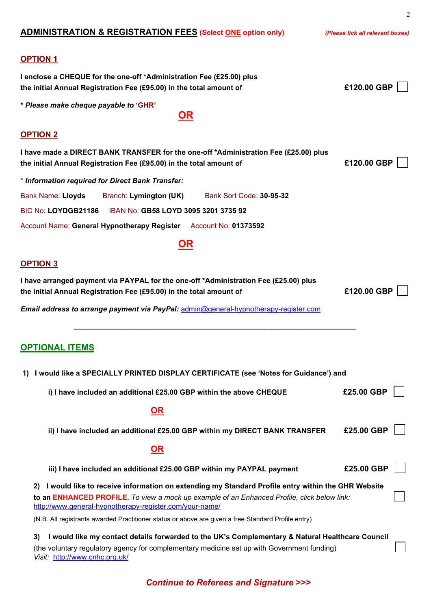| <b>ADMINISTRATION &amp; REGISTRATION FEES (Select ONE option only)</b>                                                                                                                                                                                            | (Please tick all relevant boxes) |  |
|-------------------------------------------------------------------------------------------------------------------------------------------------------------------------------------------------------------------------------------------------------------------|----------------------------------|--|
| <b>OPTION 1</b><br>I enclose a CHEQUE for the one-off *Administration Fee (£25.00) plus<br>the initial Annual Registration Fee (£95.00) in the total amount of                                                                                                    | £120.00 GBP                      |  |
| * Please make cheque payable to 'GHR'<br><u>OR</u>                                                                                                                                                                                                                |                                  |  |
|                                                                                                                                                                                                                                                                   |                                  |  |
| <b>OPTION 2</b>                                                                                                                                                                                                                                                   |                                  |  |
| I have made a DIRECT BANK TRANSFER for the one-off *Administration Fee (£25.00) plus<br>the initial Annual Registration Fee (£95.00) in the total amount of                                                                                                       | £120.00 GBP                      |  |
| * Information required for Direct Bank Transfer:                                                                                                                                                                                                                  |                                  |  |
| <b>Bank Name: Lloyds</b><br>Branch: Lymington (UK)<br>Bank Sort Code: 30-95-32                                                                                                                                                                                    |                                  |  |
| BIC No: LOYDGB21186<br>IBAN No: GB58 LOYD 3095 3201 3735 92                                                                                                                                                                                                       |                                  |  |
| Account Name: General Hypnotherapy Register Account No: 01373592                                                                                                                                                                                                  |                                  |  |
| <u>OR</u>                                                                                                                                                                                                                                                         |                                  |  |
| <b>OPTION 3</b>                                                                                                                                                                                                                                                   |                                  |  |
| I have arranged payment via PAYPAL for the one-off *Administration Fee (£25.00) plus<br>£120.00 GBP<br>the initial Annual Registration Fee (£95.00) in the total amount of                                                                                        |                                  |  |
| Email address to arrange payment via PayPal: admin@general-hypnotherapy-register.com                                                                                                                                                                              |                                  |  |
| <b>OPTIONAL ITEMS</b><br>I would like a SPECIALLY PRINTED DISPLAY CERTIFICATE (see 'Notes for Guidance') and<br>1)                                                                                                                                                |                                  |  |
| i) I have included an additional £25.00 GBP within the above CHEQUE                                                                                                                                                                                               | £25.00 GBP                       |  |
|                                                                                                                                                                                                                                                                   |                                  |  |
| <u>OR</u>                                                                                                                                                                                                                                                         |                                  |  |
| ii) I have included an additional £25.00 GBP within my DIRECT BANK TRANSFER                                                                                                                                                                                       | £25.00 GBP                       |  |
| <u>OR</u>                                                                                                                                                                                                                                                         |                                  |  |
| iii) I have included an additional £25.00 GBP within my PAYPAL payment                                                                                                                                                                                            | £25.00 GBP                       |  |
| I would like to receive information on extending my Standard Profile entry within the GHR Website<br>2)<br>to an ENHANCED PROFILE. To view a mock up example of an Enhanced Profile, click below link:<br>http://www.general-hypnotherapy-register.com/your-name/ |                                  |  |
| (N.B. All registrants awarded Practitioner status or above are given a free Standard Profile entry)                                                                                                                                                               |                                  |  |
| I would like my contact details forwarded to the UK's Complementary & Natural Healthcare Council<br>3)<br>(the voluntary regulatory agency for complementary medicine set up with Government funding)<br>Visit: http://www.cnhc.org.uk/                           |                                  |  |

# Continue to Referees and Signature >>>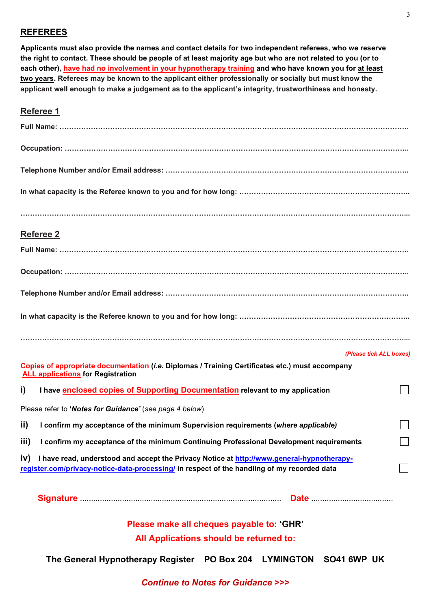## REFEREES

Applicants must also provide the names and contact details for two independent referees, who we reserve the right to contact. These should be people of at least majority age but who are not related to you (or to each other), have had no involvement in your hypnotherapy training and who have known you for at least two years. Referees may be known to the applicant either professionally or socially but must know the applicant well enough to make a judgement as to the applicant's integrity, trustworthiness and honesty.

## Referee 1

|                                           | Referee 2                                                                                                                                                                                |                             |  |
|-------------------------------------------|------------------------------------------------------------------------------------------------------------------------------------------------------------------------------------------|-----------------------------|--|
|                                           |                                                                                                                                                                                          |                             |  |
|                                           |                                                                                                                                                                                          |                             |  |
|                                           |                                                                                                                                                                                          |                             |  |
|                                           |                                                                                                                                                                                          |                             |  |
|                                           |                                                                                                                                                                                          |                             |  |
|                                           |                                                                                                                                                                                          | (Please tick ALL boxes)     |  |
|                                           | Copies of appropriate documentation (i.e. Diplomas / Training Certificates etc.) must accompany<br><b>ALL applications for Registration</b>                                              |                             |  |
| i)                                        | I have <b>enclosed copies of Supporting Documentation</b> relevant to my application                                                                                                     |                             |  |
|                                           | Please refer to 'Notes for Guidance' (see page 4 below)                                                                                                                                  |                             |  |
| ii)                                       | I confirm my acceptance of the minimum Supervision requirements (where applicable)                                                                                                       |                             |  |
|                                           | iii) I confirm my acceptance of the minimum Continuing Professional Development requirements                                                                                             | $\mathcal{L}_{\mathcal{A}}$ |  |
| iv)                                       | I have read, understood and accept the Privacy Notice at http://www.general-hypnotherapy-<br>register.com/privacy-notice-data-processing/ in respect of the handling of my recorded data |                             |  |
|                                           |                                                                                                                                                                                          |                             |  |
| Please make all cheques payable to: 'GHR' |                                                                                                                                                                                          |                             |  |
|                                           | All Applications should be returned to:                                                                                                                                                  |                             |  |

The General Hypnotherapy Register PO Box 204 LYMINGTON SO41 6WP UK

Continue to Notes for Guidance >>>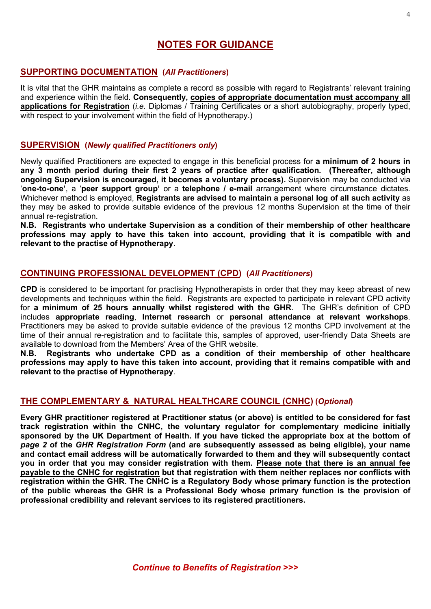## NOTES FOR GUIDANCE

## SUPPORTING DOCUMENTATION (All Practitioners)

It is vital that the GHR maintains as complete a record as possible with regard to Registrants' relevant training and experience within the field. Consequently, copies of appropriate documentation must accompany all applications for Registration (*i.e.* Diplomas / Training Certificates or a short autobiography, properly typed, with respect to your involvement within the field of Hypnotherapy.)

## SUPERVISION (Newly qualified Practitioners only)

Newly qualified Practitioners are expected to engage in this beneficial process for a minimum of 2 hours in any 3 month period during their first 2 years of practice after qualification. (Thereafter, although ongoing Supervision is encouraged, it becomes a voluntary process). Supervision may be conducted via 'one-to-one', a 'peer support group' or a telephone / e-mail arrangement where circumstance dictates. Whichever method is employed, Registrants are advised to maintain a personal log of all such activity as they may be asked to provide suitable evidence of the previous 12 months Supervision at the time of their annual re-registration.

N.B. Registrants who undertake Supervision as a condition of their membership of other healthcare professions may apply to have this taken into account, providing that it is compatible with and relevant to the practise of Hypnotherapy.

## CONTINUING PROFESSIONAL DEVELOPMENT (CPD) (All Practitioners)

CPD is considered to be important for practising Hypnotherapists in order that they may keep abreast of new developments and techniques within the field. Registrants are expected to participate in relevant CPD activity for a minimum of 25 hours annually whilst registered with the GHR. The GHR's definition of CPD includes appropriate reading, Internet research or personal attendance at relevant workshops. Practitioners may be asked to provide suitable evidence of the previous 12 months CPD involvement at the time of their annual re-registration and to facilitate this, samples of approved, user-friendly Data Sheets are available to download from the Members' Area of the GHR website.

N.B. Registrants who undertake CPD as a condition of their membership of other healthcare professions may apply to have this taken into account, providing that it remains compatible with and relevant to the practise of Hypnotherapy.

### THE COMPLEMENTARY & NATURAL HEALTHCARE COUNCIL (CNHC) (Optional)

Every GHR practitioner registered at Practitioner status (or above) is entitled to be considered for fast track registration within the CNHC, the voluntary regulator for complementary medicine initially sponsored by the UK Department of Health. If you have ticked the appropriate box at the bottom of page 2 of the GHR Registration Form (and are subsequently assessed as being eligible), your name and contact email address will be automatically forwarded to them and they will subsequently contact you in order that you may consider registration with them. Please note that there is an annual fee payable to the CNHC for registration but that registration with them neither replaces nor conflicts with registration within the GHR. The CNHC is a Regulatory Body whose primary function is the protection of the public whereas the GHR is a Professional Body whose primary function is the provision of professional credibility and relevant services to its registered practitioners.